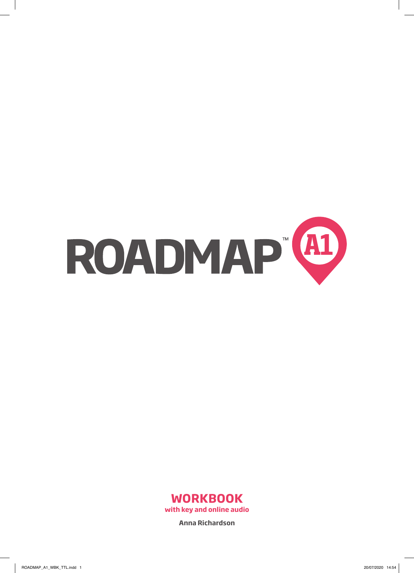



**Anna Richardson**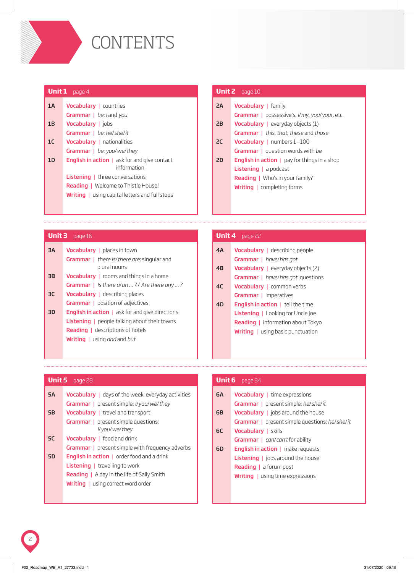

| <b>Unit 1</b> $page 4$ |                                                                              |  |  |  |  |  |  |
|------------------------|------------------------------------------------------------------------------|--|--|--|--|--|--|
| 1A                     | <b>Vocabulary</b>   countries                                                |  |  |  |  |  |  |
|                        | <b>Grammar</b> $ $ <i>be: l</i> and <i>you</i>                               |  |  |  |  |  |  |
| 1B                     | <b>Vocabulary</b>   jobs                                                     |  |  |  |  |  |  |
|                        | Grammar   be: he/she/it                                                      |  |  |  |  |  |  |
| 1C                     | <b>Vocabulary</b>   nationalities                                            |  |  |  |  |  |  |
|                        | Grammar $ $ be: you/we/they                                                  |  |  |  |  |  |  |
| 1D                     | <b>English in action</b> $\parallel$ ask for and give contact<br>information |  |  |  |  |  |  |
|                        | <b>Listening</b>   three conversations                                       |  |  |  |  |  |  |
|                        | <b>Reading</b>   Welcome to Thistle House!                                   |  |  |  |  |  |  |
|                        | <b>Writing</b> $\vert$ using capital letters and full stops                  |  |  |  |  |  |  |
|                        |                                                                              |  |  |  |  |  |  |

#### Vocabulary | family Grammar | possessive*'s*, *I*/*my*, *you*/*your*, etc. Vocabulary | everyday objects (1) Grammar | *this*, *that*, *these* and *those* Vocabulary <sup>|</sup> numbers 1–100 Grammar | question words with *be* **English in action**  $|$  pay for things in a shop Listening | a podcast Reading | Who's in your family? Writing | completing forms 2A 2B 2C 2D **Unit 2** page 10

## **Unit 3** page 16 **Unit 4** page 22

| 3A              | <b>Vocabulary</b>   places in town                                |  |  |  |  |  |
|-----------------|-------------------------------------------------------------------|--|--|--|--|--|
|                 | <b>Grammar</b>   there is/there are; singular and<br>plural nouns |  |  |  |  |  |
| $\overline{3}B$ | <b>Vocabulary</b> $\vert$ rooms and things in a home              |  |  |  |  |  |
|                 | Grammar   Is there $a/\sqrt{a}$ ? / Are there any ?               |  |  |  |  |  |
| зс              | <b>Vocabulary</b> $\vert$ describing places                       |  |  |  |  |  |
|                 | <b>Grammar</b>   position of adjectives                           |  |  |  |  |  |
| 3D              | <b>English in action</b> $\vert$ ask for and give directions      |  |  |  |  |  |
|                 | <b>Listening</b>   people talking about their towns               |  |  |  |  |  |
|                 | <b>Reading</b>   descriptions of hotels                           |  |  |  |  |  |
|                 | <b>Writing</b>   using <i>and</i> and <i>but</i>                  |  |  |  |  |  |
|                 |                                                                   |  |  |  |  |  |

| 4A | <b>Vocabulary</b>   describing people          |  |  |  |  |  |
|----|------------------------------------------------|--|--|--|--|--|
|    | <b>Grammar</b>   have/has got                  |  |  |  |  |  |
| 4B | <b>Vocabulary</b>   everyday objects $(2)$     |  |  |  |  |  |
|    | <b>Grammar</b>   have/has got: questions       |  |  |  |  |  |
| 4C | <b>Vocabulary</b>   common verbs               |  |  |  |  |  |
|    | <b>Grammar</b>   imperatives                   |  |  |  |  |  |
| 4D | <b>English in action</b> $\vert$ tell the time |  |  |  |  |  |
|    | <b>Listening</b>   Looking for Uncle loe       |  |  |  |  |  |
|    | <b>Reading</b>   information about Tokyo       |  |  |  |  |  |
|    | <b>Writing</b>   using basic punctuation       |  |  |  |  |  |
|    |                                                |  |  |  |  |  |
|    |                                                |  |  |  |  |  |

| <b>5A</b> | <b>Vocabulary</b> $\vert$ days of the week; every day activities |
|-----------|------------------------------------------------------------------|
|           | <b>Grammar</b>   present simple: <i>ll</i> you/we/they           |
| 5B        | <b>Vocabulary</b>   travel and transport                         |
|           | <b>Grammar</b>   present simple questions:                       |
|           | I/ you/ we/ they                                                 |
| <b>5C</b> | <b>Vocabulary</b> $ $ food and drink                             |
|           | <b>Grammar</b>   present simple with frequency adverbs           |
| 5D        | <b>English in action</b> $\vert$ order food and a drink          |
|           | <b>Listening</b>   travelling to work                            |
|           | <b>Reading</b> $\vert$ A day in the life of Sally Smith          |
|           | <b>Writing</b>   using correct word order                        |
|           |                                                                  |

#### **Unit 5** page 28 **Unit 6** page 34

| 6A | <b>Vocabulary</b>   time expressions                 |
|----|------------------------------------------------------|
|    | <b>Grammar</b>   present simple: he/she/it           |
| 6B | <b>Vocabulary</b>   jobs around the house            |
|    | <b>Grammar</b>   present simple questions: he/she/it |
| 6C | <b>Vocabulary</b>   skills                           |
|    | <b>Grammar</b> $ $ can/can't for ability             |
| 6D | <b>English in action</b> $\vert$ make requests       |
|    | <b>Listening</b> $\vert$ jobs around the house       |
|    | <b>Reading</b> $ $ a forum post                      |
|    | <b>Writing</b> $\vert$ using time expressions        |
|    |                                                      |
|    |                                                      |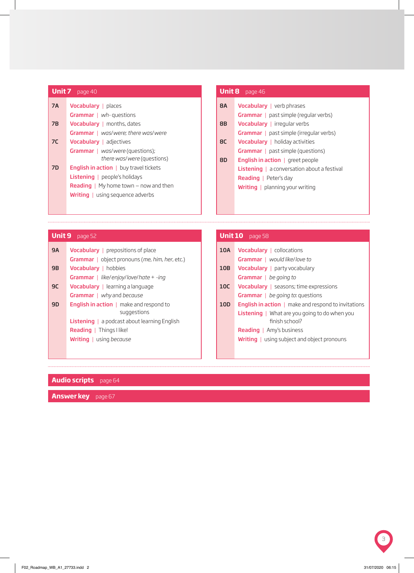|                | <b>Unit 7</b> page 40                               | Unit 8    | page 46          |
|----------------|-----------------------------------------------------|-----------|------------------|
| <b>7A</b>      | <b>Vocabulary</b>   places                          | <b>8A</b> | Vocabular        |
|                | <b>Grammar</b> $ wh\text{-}questions$               |           | Grammar          |
| 7B             | <b>Vocabulary</b>   months, dates                   | <b>8B</b> | <b>Vocabular</b> |
|                | <b>Grammar</b>   was/were; there was/were           |           | <b>Grammar</b>   |
| 7 <sup>C</sup> | <b>Vocabulary</b>   adjectives                      | <b>8C</b> | Vocabular        |
|                | <b>Grammar</b>   was/were (questions);              |           | Grammar          |
|                | there was/were (questions)                          | <b>8D</b> | English in       |
| <b>7D</b>      | <b>English in action</b> $\vert$ buy travel tickets |           | Listening        |
|                | <b>Listening</b>   people's holidays                |           | Reading $\vert$  |
|                | <b>Reading</b>   My home town $-$ now and then      |           | Writing          |
|                | <b>Writing</b> $\vert$ using sequence adverbs       |           |                  |
|                |                                                     |           |                  |

| <b>Unit 8</b> page 46 |                                                      |  |  |  |  |  |
|-----------------------|------------------------------------------------------|--|--|--|--|--|
| <b>8A</b>             | <b>Vocabulary</b>   verb phrases                     |  |  |  |  |  |
|                       | <b>Grammar</b>   past simple (regular verbs)         |  |  |  |  |  |
| 8B                    | <b>Vocabulary</b>   irregular verbs                  |  |  |  |  |  |
|                       | <b>Grammar</b>   past simple (irregular verbs)       |  |  |  |  |  |
| <b>8C</b>             | <b>Vocabulary</b>   holiday activities               |  |  |  |  |  |
|                       | <b>Grammar</b>   past simple (questions)             |  |  |  |  |  |
| 8D                    | <b>English in action</b> $ $ greet people            |  |  |  |  |  |
|                       | <b>Listening</b> $ $ a conversation about a festival |  |  |  |  |  |
|                       | <b>Reading</b>   Peter's day                         |  |  |  |  |  |
|                       | <b>Writing</b>   planning your writing               |  |  |  |  |  |
|                       |                                                      |  |  |  |  |  |

## **Unit 9** page 52

| <b>9A</b> | <b>Vocabulary</b> $ $ prepositions of place                                    |
|-----------|--------------------------------------------------------------------------------|
|           | <b>Grammar</b>   object pronouns ( <i>me</i> , <i>him</i> , <i>her</i> , etc.) |
| 9B        | <b>Vocabulary</b>   hobbies                                                    |
|           | <b>Grammar</b>   like/enjoy/love/hate + -ing                                   |
| 9C        | <b>Vocabulary</b>   learning a language                                        |
|           | <b>Grammar</b>   why and because                                               |
| 9D        | <b>English in action</b> $\vert$ make and respond to                           |
|           | suggestions                                                                    |
|           | <b>Listening</b> $ $ a podcast about learning English                          |
|           | <b>Reading</b>   Things I like!                                                |
|           | <b>Writing</b>   using because                                                 |
|           |                                                                                |

## **Unit 10** page 58

| <b>English in action</b> $\vert$ make and respond to invitations |
|------------------------------------------------------------------|
|                                                                  |
|                                                                  |
|                                                                  |
|                                                                  |
|                                                                  |

## **Audio scripts** page 64

**Answer key** page 67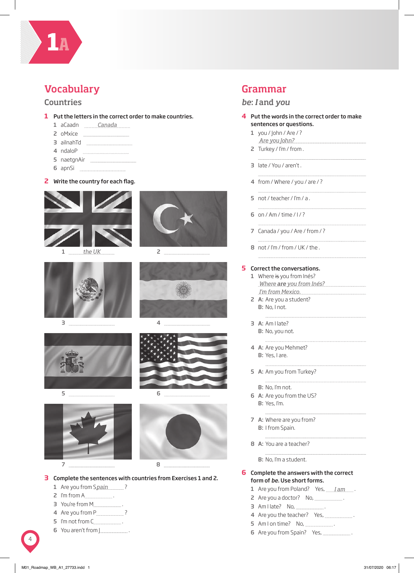

## Vocabulary

#### Countries

- **1** Put the letters in the correct order to make countries.
	- 1 aCaadn *Canada*
	- 2 oMxice
	- 3 ailnahTd
	- 4 ndaloP
	- 5 naetgnAir
	- 6 apnSi

#### **2** Write the country for each flag.



*the UK* 1



3



5 





2



4



6



#### **3** Complete the sentences with countries from Exercises 1 and 2.

- 1 Are you from S*pain* 2
- 2 I'm from A
- 3 You're from M .
- 4 Are you from P.
- 5 I'm not from C .
- 6 You aren't from J .

## Grammar

#### *be*: *I* and *you*

#### **4** Put the words in the correct order to make sentences or questions.

1 you /  $\lambda$  / Are / ? *Are you John?*

.<br>Listo este

- 2 Turkey / I'm / from .
- 3 late / You / aren't .
- 4 from / Where / you / are / ?
- 5 not / teacher / I'm  $/ a$ .
- 6 on / Am / time /  $1/$ ?
- 7 Canada / you / Are / from / ?
- 8 not / I'm / from / UK / the.

#### **5** Correct the conversations.

| 1 Where is you from Inés?              |
|----------------------------------------|
| <u>Where <b>are</b> you from Inés?</u> |
| I'm from Mexico.                       |
| 2 A: Are you a student?                |

- B: No, I not.
- 3 A: Am I late? B: No, you not.
- 4 A: Are you Mehmet? B: Yes, I are.
- 5 A: Am you from Turkey?
	- B: No, I'm not.
- 6 A: Are you from the US? B: Yes, I'm.
- 7 A: Where are you from? B: I from Spain.
- 8 A: You are a teacher?

B: No, I'm a student.

#### **6** Complete the answers with the correct form of *be*. Use short forms.

1 Are you from Poland? Yes, . *I am*

- 2 Are you a doctor? No, .
- 3 Am I late? No, .
- 4 Are you the teacher? Yes, .
- 5 Am I on time? No, \_\_\_\_\_\_\_\_\_\_\_\_\_\_.
- 6 Are you from Spain? Yes, .

4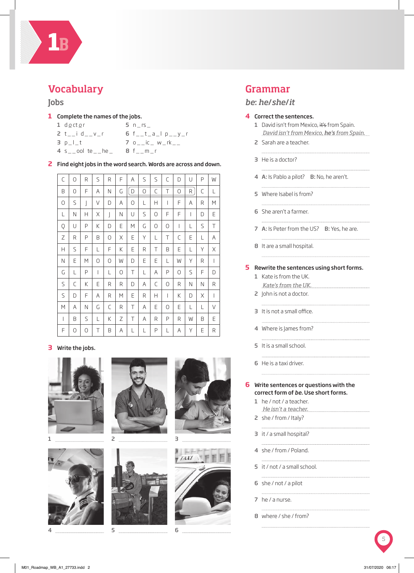

## Vocabulary

#### **Jobs**

- **1** Complete the names of the jobs.
	- 1 d<u>o</u>ct<u>o</u>r

 $5 n$  n  $rs$ 

- 2  $t_{-}$ i d $_{-}$ v $_{-}$ r 6  $f_{-}t_{-}a_{-}l p_{-}y_{-}r$
- $3 p_l t$  $7 \circ_{-}$ ic  $_{-}$  w  $_{-}$ rk  $_{-}$
- 4 s \_ \_ ool te \_ \_ he \_ 8 f \_ \_ m \_ r

**2** Find eight jobs in the word search. Words are across and down.

| C | 0 | R | S | R | F | Α | S | S | C | D | U | P | W |
|---|---|---|---|---|---|---|---|---|---|---|---|---|---|
| B | 0 | F | Α | Ν | G | D | 0 | C | Τ | 0 | R | C | L |
| 0 | S | J | V | D | Α | 0 | L | Н | I | F | Α | R | М |
| L | Ν | Н | Χ | J | Ν | U | S | 0 | F | F | I | D | Е |
| Q | U | P | Κ | D | E | М | G | 0 | 0 | I | L | S | Τ |
| Ζ | R | P | Β | 0 | Χ | Ε | Υ | L | Τ | С | Ε | L | Α |
| Н | S | F | L | F | Κ | Е | R | Τ | B | Е | L | Υ | Χ |
| Ν | Е | М | 0 | 0 | W | D | E | E | L | W | Y | R | T |
| G | L | P | I | L | 0 | Τ | L | Α | P | 0 | S | F | D |
| S | C | Κ | Ε | R | R | D | Α | С | 0 | R | Ν | Ν | R |
| S | D | F | Α | R | М | Е | R | Н | I | Κ | D | Χ | I |
| M | A | Ν | G | C | R | Τ | A | E | 0 | Е | L | L | V |
| I | B | S | L | Κ | Ζ | Τ | Α | R | Ρ | R | W | B | Ε |
| F | 0 | 0 | Τ | Β | Α | L | L | Ρ | L | Α | Υ | Ε | R |

#### **3** Write the jobs.





4











## Grammar

#### *be*: *he*/*she*/*it*

#### **4** Correct the sentences.

- 1 David isn't from Mexico, it's from Spain. *David isn't from Mexico, he's from Spain.*
- 2 Sarah are a teacher.
	-
- 3 He is a doctor?
- 4 A: Is Pablo a pilot? B: No, he aren't.
- 5 Where Isabel is from?
- 
- 6 She aren't a farmer.
- 7 A: Is Peter from the US? B: Yes, he are.

8 It are a small hospital. 

#### **5** Rewrite the sentences using short forms.

- 1 Kate is from the UK. *Kate's from the UK.*
- 2 John is not a doctor.

- 3 It is not a small office.
- 4 Where is James from?
- 5 It is a small school.
- 6 He is a taxi driver.

#### **6** Write sentences or questions with the correct form of *be*. Use short forms.

- 1 he / not / a teacher. *He isn't a teacher.*
- 2 she / from / Italy?
- 3 it / a small hospital?
- 4 she / from / Poland.
- 5 it / not / a small school.
- 

- 6 she / not / a pilot
- 7 he / a nurse.
- 8 where / she / from?

5

6



.<br>Listo de la provincia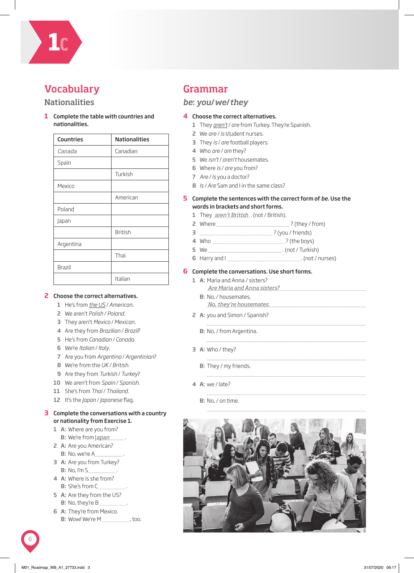

# **Vocabulary**

#### **Nationalities**

**1** Complete the table with countries and nationalities.

| <b>Countries</b> | <b>Nationalities</b> |  |  |  |  |
|------------------|----------------------|--|--|--|--|
| Canada           | Canadian             |  |  |  |  |
| Spain            |                      |  |  |  |  |
|                  | Turkish              |  |  |  |  |
| Mexico           |                      |  |  |  |  |
|                  | American             |  |  |  |  |
| Poland           |                      |  |  |  |  |
| Japan            |                      |  |  |  |  |
|                  | <b>British</b>       |  |  |  |  |
| Argentina        |                      |  |  |  |  |
|                  | Thai                 |  |  |  |  |
| <b>Brazil</b>    |                      |  |  |  |  |
|                  | Italian              |  |  |  |  |

#### **2** Choose the correct alternatives.

- 1 He's from *the US* / *American*.
- 2 We aren't *Polish* / *Poland*.
- 3 They aren't *Mexico* / *Mexican*.
- 4 Are they from *Brazilian* / *Brazil*?
- 5 He's from *Canadian* / *Canada*.
- 6 We're *Italian* / *Italy*.
- 7 Are you from *Argentina* / *Argentinian*?
- 8 We're from the *UK* / *British*.
- 9 Are they from *Turkish* / *Turkey*?
- 10 We aren't from *Spain* / *Spanish*.
- 11 She's from *Thai* / *Thailand*.
- 12 It's the *Japan / Japanese* flag.

#### **3** Complete the conversations with a country or nationality from Exercise 1.

- 1 A: Where are you from? B: We're from <u>Japan \_\_\_\_</u>\_\_
- 2 A: Are you American? B: No, we're A .
- 3 A: Are you from Turkey? B: No, I'm S .
- 4 A: Where is she from? B: She's from C .
- 5 A: Are they from the US? B: No, they're B .
- 6 A: They're from Mexico. B: Wow! We're M , too.

## Grammar

#### *be*: *you*/*we*/*they*

#### **4** Choose the correct alternatives.

- 1 They *aren't* / *are* from Turkey. They're Spanish.
- 2 We *are* / *is* student nurses.
- 3 They *is* / *are* football players.
- 4 Who *are* / *am* they?
- 5 We *isn't* / *aren't* housemates.
- 6 Where *is* / *are* you from?
- 7 *Are* / *Is* you a doctor?
- 8 *Is* / *Are* Sam and I in the same class?

#### **5** Complete the sentences with the correct form of *be*. Use the words in brackets and short forms.

- 1 They aren't British (not / British).
- 2 Where ? (they / from)
- 3 ? (you / friends)
- 4 Who ? (the boys)
- 5 We . (not / Turkish)
- 6 Harry and I <u>**with the contract of the Harry and I**</u> . (not / nurses)

#### **6** Complete the conversations. Use short forms.

- 1 A: Maria and Anna / sisters? B: No, / housemates. *Are Maria and Anna sisters?*
- 2 A: you and Simon / Spanish? *No, they're housemates.*

- 
- B: No, / from Argentina.
- 3 A: Who / they?
	- B: They / my friends.
- 4 A: we / late?
	- B: No, / on time.

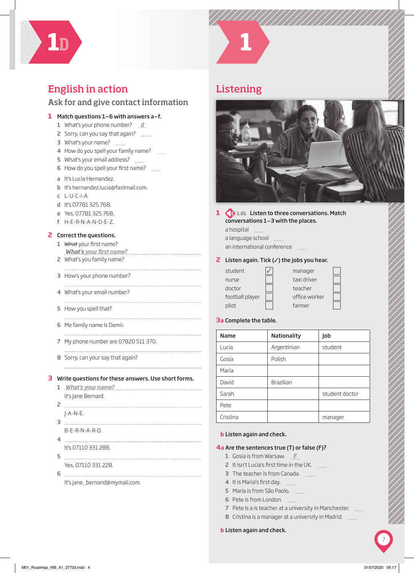

## English in action

## Ask for and give contact information

#### **1** Match questions 1–6 with answers a–f.

- 1 What's your phone number? *d*
- 2 Sorry, can you say that again?
- 3 What's your name?
- 4 How do you spell your family name?
- 5 What's your email address?
- 6 How do you spell your first name? \_\_\_\_\_\_
- a It's Lucia Hernandez.
- b It's hernandez.lucia@fastmail.com.
- c L-U-C-I-A.
- d It's 07781 325 768.
- e Yes, 07781 325 768.
- f H-E-R-N-A-N-D-E-Z.

#### **2** Correct the questions.

- 1 What your first name? *What's* your first name?
- 2 What's you family name?
- 3 How's your phone number?
- 4 What's your email number?
- 5 How you spell that?
- 6 Me family name is Demir.
- 7 My phone number are 07820 511 370.
- 8 Sorry, can your say that again?

#### **3** Write questions for these answers. Use short forms.

- 1 *What's your name?* It's Jane Bernard.
- 2 J-A-N-E.
- 3
- B-E-R-N-A-R-D.
- 4 It's 07110 331 288.
- $5$
- Yes, 07110 331 228.
- 6

It's jane\_bernand@mymail.com.



## Listening



#### **1 b** 1.01 Listen to three conversations. Match conversations 1–3 with the places.

a hospital a language school an international conference

#### **2** Listen again. Tick (✓) the jobs you hear.

| student         |
|-----------------|
| nurse           |
| doctor          |
| football player |
| pilot           |

 $\mathcal{L} = \mathcal{L}$ 

i sa kacamatan

| manager       |  |
|---------------|--|
| taxi driver   |  |
| teacher       |  |
| office worker |  |
| farmer        |  |

## **3** Complete the table.

| <b>Name</b> | <b>Nationality</b> | Job            |
|-------------|--------------------|----------------|
| Lucia       | Argentinian        | student        |
| Gosia       | Polish             |                |
| Maria       |                    |                |
| David       | Brazilian          |                |
| Sarah       |                    | student doctor |
| Pete        |                    |                |
| Cristina    |                    | manager        |
|             |                    |                |

#### **b** Listen again and check.

#### **4 a** Are the sentences true (T) or false (F)?

- 1 Gosia is from Warsaw. *F*
- 2 It isn't Lucia's first time in the UK.
- 3 The teacher is from Canada.
- 4 It is Maria's first day.
- 5 Maria is from São Paolo.
- 6 Pete is from London.
- 7 Pete is a is teacher at a university in Manchester. \_\_\_\_\_\_
- 8 Cristina is a manager at a university in Madrid.

#### **b** Listen again and check.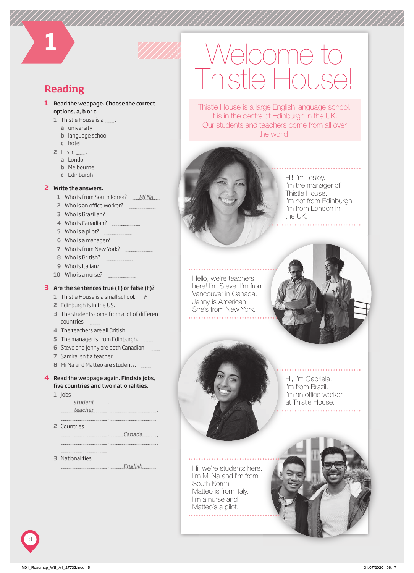## Reading

**1**

- **1** Read the webpage. Choose the correct options, a, b or c.
	- 1 Thistle House is a ...
		- a university
		- b language school
		- c hotel
	- 2 It is in  $\frac{1}{2}$ .
		- a London
		- b Melbourne
		- c Edinburgh

#### **2** Write the answers.

- 1 Who is from South Korea? *Mi Na*
- 2 Who is an office worker?
- 3 Who is Brazilian?
- 4 Who is Canadian?
- 5 Who is a pilot? <u>\_\_\_\_\_\_\_\_\_\_\_\_\_\_\_\_\_</u>
- 6 Who is a manager?
- 7 Who is from New York?
- 8 Who is British? **Election** 2008
- 9 Who is Italian?
- 10 Who is a nurse? **manually manually manually with a**

#### **3** Are the sentences true (T) or false (F)?

- 1 Thistle House is a small school. *F*
- 2 Edinburgh is in the US.
- 3 The students come from a lot of different countries.
- 4 The teachers are all British.
- 5 The manager is from Edinburgh.
- 6 Steve and Jenny are both Canadian.
- 7 Samira isn't a teacher.
- 8 Mi Na and Matteo are students.

#### **4** Read the webpage again. Find six jobs, five countries and two nationalities.

, ,

1 lobs

 , *student* , , *teacher* , 2 Countries , , *Canada*

3 Nationalities

, *English* 

# Welcome to Thistle House

Thistle House is a large English language school. It is in the centre of Edinburgh in the UK. Our students and teachers come from all over the world.



Hi! I'm Lesley. I'm the manager of Thistle House. I'm not from Edinburgh. I'm from London in the UK.

. . . . . . . . . .

Hello, we're teachers here! I'm Steve. I'm from Vancouver in Canada. Jenny is American. She's from New York.



Hi, we're students here. I'm Mi Na and I'm from South Korea. Matteo is from Italy. I'm a nurse and Matteo's a pilot. . . . . . . . . . . . . . . . . . . . .

Hi, I'm Gabriela. I'm from Brazil. I'm an office worker at Thistle House. House.